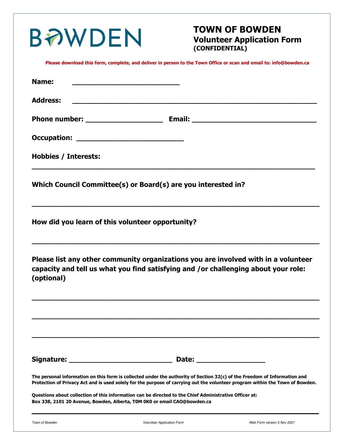| <b>BAWDEN</b>               |                                                                                                                                                                                                                                                            | <b>TOWN OF BOWDEN</b><br><b>Volunteer Application Form</b><br>(CONFIDENTIAL) |                             |
|-----------------------------|------------------------------------------------------------------------------------------------------------------------------------------------------------------------------------------------------------------------------------------------------------|------------------------------------------------------------------------------|-----------------------------|
|                             | Please download this form, complete, and deliver in person to the Town Office or scan and email to: info@bowden.ca                                                                                                                                         |                                                                              |                             |
| Name:                       | <u> 1950 - Johann Barn, mars an t-Amerikaansk politiker (</u>                                                                                                                                                                                              |                                                                              |                             |
| <b>Address:</b>             |                                                                                                                                                                                                                                                            |                                                                              |                             |
|                             |                                                                                                                                                                                                                                                            |                                                                              |                             |
|                             |                                                                                                                                                                                                                                                            |                                                                              |                             |
| <b>Hobbies / Interests:</b> |                                                                                                                                                                                                                                                            |                                                                              |                             |
|                             | Which Council Committee(s) or Board(s) are you interested in?                                                                                                                                                                                              |                                                                              |                             |
|                             | How did you learn of this volunteer opportunity?                                                                                                                                                                                                           |                                                                              |                             |
| (optional)                  | Please list any other community organizations you are involved with in a volunteer<br>capacity and tell us what you find satisfying and /or challenging about your role:                                                                                   |                                                                              |                             |
|                             |                                                                                                                                                                                                                                                            |                                                                              |                             |
|                             |                                                                                                                                                                                                                                                            |                                                                              |                             |
|                             | The personal information on this form is collected under the authority of Section 32(c) of the Freedom of Information and<br>Protection of Privacy Act and is used solely for the purpose of carrying out the volunteer program within the Town of Bowden. |                                                                              |                             |
|                             | Questions about collection of this information can be directed to the Chief Administrative Officer at:<br>Box 338, 2101 20 Avenue, Bowden, Alberta, T0M 0K0 or email CAO@bowden.ca                                                                         |                                                                              |                             |
| Town of Bowden              | <b>Volunteer Application Form</b>                                                                                                                                                                                                                          |                                                                              | Web Form version 3 Nov 2021 |